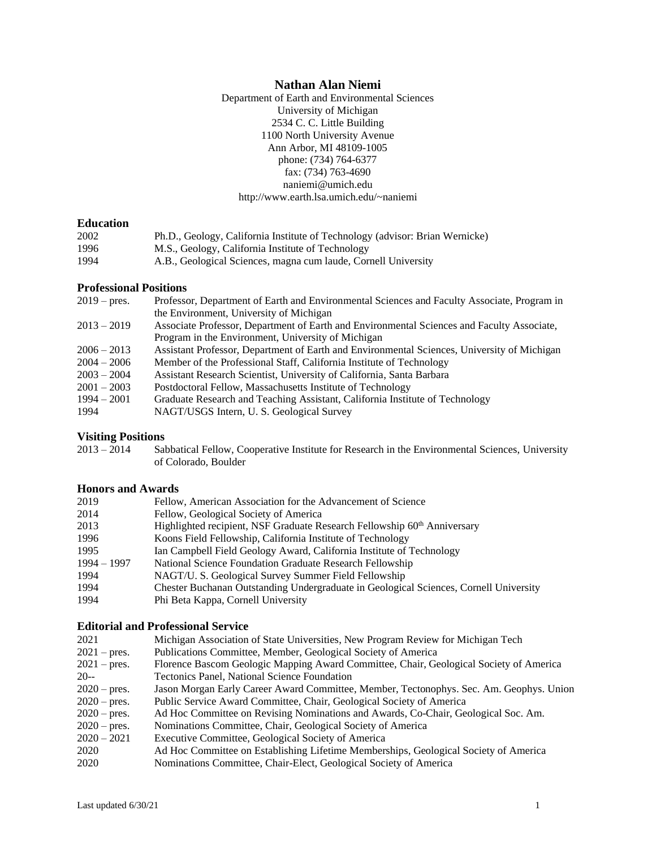# **Nathan Alan Niemi**

Department of Earth and Environmental Sciences University of Michigan 2534 C. C. Little Building 1100 North University Avenue Ann Arbor, MI 48109-1005 phone: (734) 764-6377 fax: (734) 763-4690 naniemi@umich.edu http://www.earth.lsa.umich.edu/~naniemi

#### **Education**

| 2002 | Ph.D., Geology, California Institute of Technology (advisor: Brian Wernicke) |
|------|------------------------------------------------------------------------------|
| 1996 | M.S., Geology, California Institute of Technology                            |
| 1994 | A.B., Geological Sciences, magna cum laude, Cornell University               |

### **Professional Positions**

| Professor, Department of Earth and Environmental Sciences and Faculty Associate, Program in |
|---------------------------------------------------------------------------------------------|
| the Environment, University of Michigan                                                     |
| Associate Professor, Department of Earth and Environmental Sciences and Faculty Associate,  |
| Program in the Environment, University of Michigan                                          |
| Assistant Professor, Department of Earth and Environmental Sciences, University of Michigan |
| Member of the Professional Staff, California Institute of Technology                        |
| Assistant Research Scientist, University of California, Santa Barbara                       |
| Postdoctoral Fellow, Massachusetts Institute of Technology                                  |
| Graduate Research and Teaching Assistant, California Institute of Technology                |
| NAGT/USGS Intern, U. S. Geological Survey                                                   |
|                                                                                             |

# **Visiting Positions**<br>2013 – 2014 Sal

Sabbatical Fellow, Cooperative Institute for Research in the Environmental Sciences, University of Colorado, Boulder

# **Honors and Awards**

| 2019          | Fellow, American Association for the Advancement of Science                           |
|---------------|---------------------------------------------------------------------------------------|
| 2014          | Fellow, Geological Society of America                                                 |
| 2013          | Highlighted recipient, NSF Graduate Research Fellowship 60 <sup>th</sup> Anniversary  |
| 1996          | Koons Field Fellowship, California Institute of Technology                            |
| 1995          | Ian Campbell Field Geology Award, California Institute of Technology                  |
| $1994 - 1997$ | National Science Foundation Graduate Research Fellowship                              |
| 1994          | NAGT/U. S. Geological Survey Summer Field Fellowship                                  |
| 1994          | Chester Buchanan Outstanding Undergraduate in Geological Sciences, Cornell University |
| 1994          | Phi Beta Kappa, Cornell University                                                    |

# **Editorial and Professional Service**

| 2021                  | Michigan Association of State Universities, New Program Review for Michigan Tech        |
|-----------------------|-----------------------------------------------------------------------------------------|
| $2021$ – pres.        | Publications Committee, Member, Geological Society of America                           |
| $2021$ – pres.        | Florence Bascom Geologic Mapping Award Committee, Chair, Geological Society of America  |
| $20 -$                | Tectonics Panel, National Science Foundation                                            |
| $2020 - \text{pres.}$ | Jason Morgan Early Career Award Committee, Member, Tectonophys. Sec. Am. Geophys. Union |
| $2020 - \text{pres.}$ | Public Service Award Committee, Chair, Geological Society of America                    |
| $2020 - \text{pres.}$ | Ad Hoc Committee on Revising Nominations and Awards, Co-Chair, Geological Soc. Am.      |
| $2020 - \text{pres.}$ | Nominations Committee, Chair, Geological Society of America                             |
| $2020 - 2021$         | Executive Committee, Geological Society of America                                      |
| 2020                  | Ad Hoc Committee on Establishing Lifetime Memberships, Geological Society of America    |
| 2020                  | Nominations Committee, Chair-Elect, Geological Society of America                       |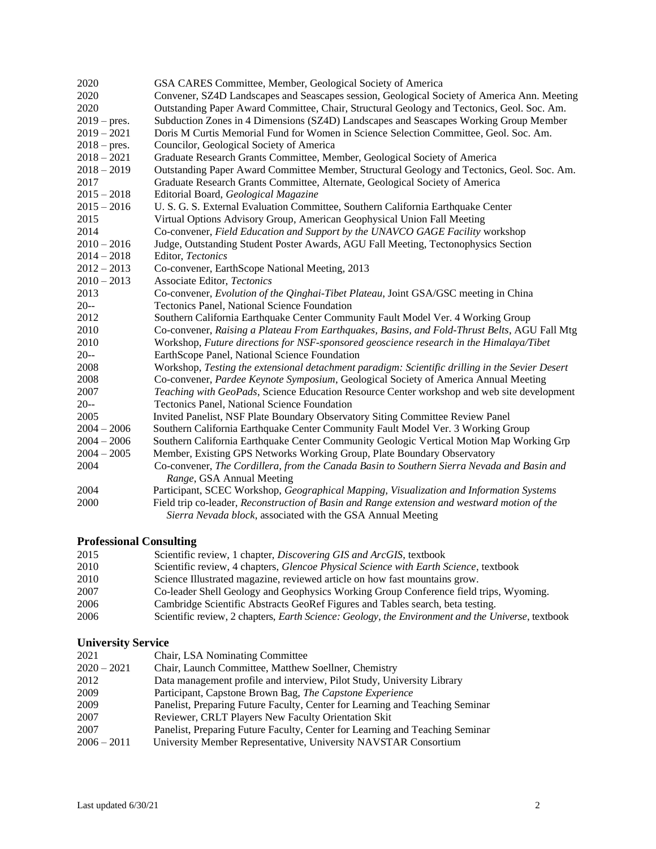| 2020           | GSA CARES Committee, Member, Geological Society of America                                      |
|----------------|-------------------------------------------------------------------------------------------------|
| 2020           | Convener, SZ4D Landscapes and Seascapes session, Geological Society of America Ann. Meeting     |
| 2020           | Outstanding Paper Award Committee, Chair, Structural Geology and Tectonics, Geol. Soc. Am.      |
| $2019 - pres.$ | Subduction Zones in 4 Dimensions (SZ4D) Landscapes and Seascapes Working Group Member           |
| $2019 - 2021$  | Doris M Curtis Memorial Fund for Women in Science Selection Committee, Geol. Soc. Am.           |
| $2018 - pres.$ | Councilor, Geological Society of America                                                        |
| $2018 - 2021$  | Graduate Research Grants Committee, Member, Geological Society of America                       |
| $2018 - 2019$  | Outstanding Paper Award Committee Member, Structural Geology and Tectonics, Geol. Soc. Am.      |
| 2017           | Graduate Research Grants Committee, Alternate, Geological Society of America                    |
| $2015 - 2018$  | Editorial Board, Geological Magazine                                                            |
| $2015 - 2016$  | U. S. G. S. External Evaluation Committee, Southern California Earthquake Center                |
| 2015           | Virtual Options Advisory Group, American Geophysical Union Fall Meeting                         |
| 2014           | Co-convener, Field Education and Support by the UNAVCO GAGE Facility workshop                   |
| $2010 - 2016$  | Judge, Outstanding Student Poster Awards, AGU Fall Meeting, Tectonophysics Section              |
| $2014 - 2018$  | Editor, Tectonics                                                                               |
| $2012 - 2013$  | Co-convener, EarthScope National Meeting, 2013                                                  |
| $2010 - 2013$  | Associate Editor, Tectonics                                                                     |
| 2013           | Co-convener, Evolution of the Qinghai-Tibet Plateau, Joint GSA/GSC meeting in China             |
| $20 -$         | Tectonics Panel, National Science Foundation                                                    |
| 2012           | Southern California Earthquake Center Community Fault Model Ver. 4 Working Group                |
| 2010           | Co-convener, Raising a Plateau From Earthquakes, Basins, and Fold-Thrust Belts, AGU Fall Mtg    |
| 2010           | Workshop, Future directions for NSF-sponsored geoscience research in the Himalaya/Tibet         |
| $20 -$         | EarthScope Panel, National Science Foundation                                                   |
| 2008           | Workshop, Testing the extensional detachment paradigm: Scientific drilling in the Sevier Desert |
| 2008           | Co-convener, Pardee Keynote Symposium, Geological Society of America Annual Meeting             |
| 2007           | Teaching with GeoPads, Science Education Resource Center workshop and web site development      |
| $20 -$         | Tectonics Panel, National Science Foundation                                                    |
| 2005           | Invited Panelist, NSF Plate Boundary Observatory Siting Committee Review Panel                  |
| $2004 - 2006$  | Southern California Earthquake Center Community Fault Model Ver. 3 Working Group                |
| $2004 - 2006$  | Southern California Earthquake Center Community Geologic Vertical Motion Map Working Grp        |
| $2004 - 2005$  | Member, Existing GPS Networks Working Group, Plate Boundary Observatory                         |
| 2004           | Co-convener, The Cordillera, from the Canada Basin to Southern Sierra Nevada and Basin and      |
|                | Range, GSA Annual Meeting                                                                       |
| 2004           | Participant, SCEC Workshop, Geographical Mapping, Visualization and Information Systems         |
| 2000           | Field trip co-leader, Reconstruction of Basin and Range extension and westward motion of the    |
|                | Sierra Nevada block, associated with the GSA Annual Meeting                                     |

# **Professional Consulting**

| 2015 | Scientific review, 1 chapter, <i>Discovering GIS and ArcGIS</i> , textbook                                |
|------|-----------------------------------------------------------------------------------------------------------|
| 2010 | Scientific review, 4 chapters, <i>Glencoe Physical Science with Earth Science</i> , textbook              |
| 2010 | Science Illustrated magazine, reviewed article on how fast mountains grow.                                |
| 2007 | Co-leader Shell Geology and Geophysics Working Group Conference field trips, Wyoming.                     |
| 2006 | Cambridge Scientific Abstracts GeoRef Figures and Tables search, beta testing.                            |
| 2006 | Scientific review, 2 chapters, <i>Earth Science: Geology, the Environment and the Universe</i> , textbook |

# **University Service**

| 2021          | Chair, LSA Nominating Committee                                              |
|---------------|------------------------------------------------------------------------------|
| $2020 - 2021$ | Chair, Launch Committee, Matthew Soellner, Chemistry                         |
| 2012          | Data management profile and interview, Pilot Study, University Library       |
| 2009          | Participant, Capstone Brown Bag, The Capstone Experience                     |
| 2009          | Panelist, Preparing Future Faculty, Center for Learning and Teaching Seminar |
| 2007          | Reviewer, CRLT Players New Faculty Orientation Skit                          |
| 2007          | Panelist, Preparing Future Faculty, Center for Learning and Teaching Seminar |
| $2006 - 2011$ | University Member Representative, University NAVSTAR Consortium              |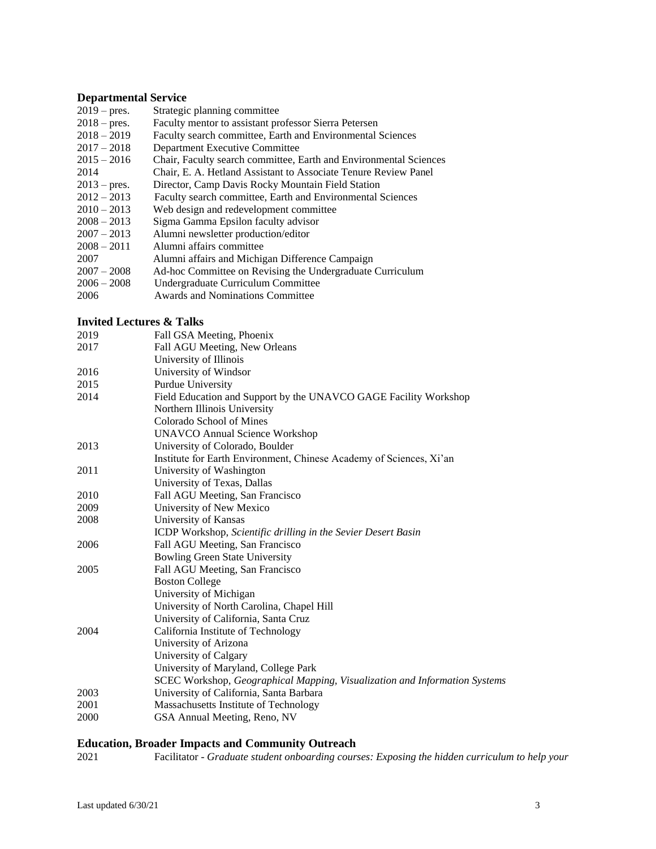#### **Departmental Service**

- 2019 pres. Strategic planning committee
- 2018 pres. Faculty mentor to assistant professor Sierra Petersen
- 2018 2019 Faculty search committee, Earth and Environmental Sciences<br>2017 2018 Department Executive Committee
- 2017 2018 Department Executive Committee<br>2015 2016 Chair, Faculty search committee, F
- Chair, Faculty search committee, Earth and Environmental Sciences
- 2014 Chair, E. A. Hetland Assistant to Associate Tenure Review Panel<br>2013 pres. Director, Camp Davis Rocky Mountain Field Station
- 2013 pres. Director, Camp Davis Rocky Mountain Field Station
- Faculty search committee, Earth and Environmental Sciences
- 2010 2013 Web design and redevelopment committee
- 2008 2013 Sigma Gamma Epsilon faculty advisor
- 2007 2013 Alumni newsletter production/editor
- 2008 2011 Alumni affairs committee
- 2007 Alumni affairs and Michigan Difference Campaign
- 2007 2008 Ad-hoc Committee on Revising the Undergraduate Curriculum
- 2006 2008 Undergraduate Curriculum Committee
- 2006 Awards and Nominations Committee

### **Invited Lectures & Talks**

| 2019 | Fall GSA Meeting, Phoenix                                                  |
|------|----------------------------------------------------------------------------|
| 2017 | Fall AGU Meeting, New Orleans                                              |
|      | University of Illinois                                                     |
| 2016 | University of Windsor                                                      |
| 2015 | Purdue University                                                          |
| 2014 | Field Education and Support by the UNAVCO GAGE Facility Workshop           |
|      | Northern Illinois University                                               |
|      | Colorado School of Mines                                                   |
|      | <b>UNAVCO Annual Science Workshop</b>                                      |
| 2013 | University of Colorado, Boulder                                            |
|      | Institute for Earth Environment, Chinese Academy of Sciences, Xi'an        |
| 2011 | University of Washington                                                   |
|      | University of Texas, Dallas                                                |
| 2010 | Fall AGU Meeting, San Francisco                                            |
| 2009 | University of New Mexico                                                   |
| 2008 | University of Kansas                                                       |
|      | ICDP Workshop, Scientific drilling in the Sevier Desert Basin              |
| 2006 | Fall AGU Meeting, San Francisco                                            |
|      | <b>Bowling Green State University</b>                                      |
| 2005 | Fall AGU Meeting, San Francisco                                            |
|      | <b>Boston College</b>                                                      |
|      | University of Michigan                                                     |
|      | University of North Carolina, Chapel Hill                                  |
|      | University of California, Santa Cruz                                       |
| 2004 | California Institute of Technology                                         |
|      | University of Arizona                                                      |
|      | University of Calgary                                                      |
|      | University of Maryland, College Park                                       |
|      | SCEC Workshop, Geographical Mapping, Visualization and Information Systems |
| 2003 | University of California, Santa Barbara                                    |
| 2001 | Massachusetts Institute of Technology                                      |
| 2000 | GSA Annual Meeting, Reno, NV                                               |

#### **Education, Broader Impacts and Community Outreach**

2021 Facilitator - *Graduate student onboarding courses: Exposing the hidden curriculum to help your*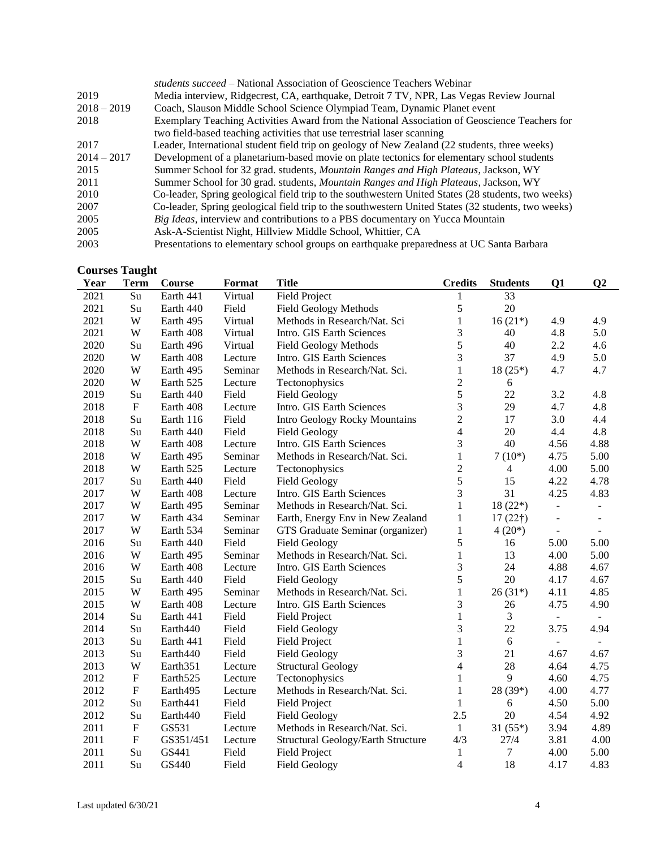|               | <i>students succeed</i> – National Association of Geoscience Teachers Webinar                      |
|---------------|----------------------------------------------------------------------------------------------------|
| 2019          | Media interview, Ridgecrest, CA, earthquake, Detroit 7 TV, NPR, Las Vegas Review Journal           |
| $2018 - 2019$ | Coach, Slauson Middle School Science Olympiad Team, Dynamic Planet event                           |
| 2018          | Exemplary Teaching Activities Award from the National Association of Geoscience Teachers for       |
|               | two field-based teaching activities that use terrestrial laser scanning                            |
| 2017          | Leader, International student field trip on geology of New Zealand (22 students, three weeks)      |
| $2014 - 2017$ | Development of a planetarium-based movie on plate tectonics for elementary school students         |
| 2015          | Summer School for 32 grad. students, Mountain Ranges and High Plateaus, Jackson, WY                |
| 2011          | Summer School for 30 grad. students, Mountain Ranges and High Plateaus, Jackson, WY                |
| 2010          | Co-leader, Spring geological field trip to the southwestern United States (28 students, two weeks) |
| 2007          | Co-leader, Spring geological field trip to the southwestern United States (32 students, two weeks) |
| 2005          | Big Ideas, interview and contributions to a PBS documentary on Yucca Mountain                      |
| 2005          | Ask-A-Scientist Night, Hillview Middle School, Whittier, CA                                        |
| 2003          | Presentations to elementary school groups on earthquake preparedness at UC Santa Barbara           |

## **Courses Taught**

| Year | <b>Term</b> | Course               | <b>Format</b> | <b>Title</b>                       | <b>Credits</b>           | <b>Students</b> | Q1                       | $\bf Q2$                 |
|------|-------------|----------------------|---------------|------------------------------------|--------------------------|-----------------|--------------------------|--------------------------|
| 2021 | Su          | Earth 441            | Virtual       | <b>Field Project</b>               | 1                        | 33              |                          |                          |
| 2021 | Su          | Earth 440            | Field         | <b>Field Geology Methods</b>       | 5                        | 20              |                          |                          |
| 2021 | W           | Earth 495            | Virtual       | Methods in Research/Nat. Sci       | $\mathbf{1}$             | $16(21*)$       | 4.9                      | 4.9                      |
| 2021 | W           | Earth 408            | Virtual       | Intro. GIS Earth Sciences          | 3                        | 40              | 4.8                      | 5.0                      |
| 2020 | Su          | Earth 496            | Virtual       | <b>Field Geology Methods</b>       | 5                        | 40              | 2.2                      | 4.6                      |
| 2020 | W           | Earth 408            | Lecture       | Intro. GIS Earth Sciences          | 3                        | 37              | 4.9                      | 5.0                      |
| 2020 | W           | Earth 495            | Seminar       | Methods in Research/Nat. Sci.      | $\mathbf{1}$             | $18(25*)$       | 4.7                      | 4.7                      |
| 2020 | W           | Earth 525            | Lecture       | Tectonophysics                     | $\overline{c}$           | 6               |                          |                          |
| 2019 | Su          | Earth 440            | Field         | <b>Field Geology</b>               | 5                        | 22              | 3.2                      | 4.8                      |
| 2018 | ${\bf F}$   | Earth 408            | Lecture       | Intro. GIS Earth Sciences          | 3                        | 29              | 4.7                      | 4.8                      |
| 2018 | Su          | Earth 116            | Field         | Intro Geology Rocky Mountains      | $\overline{c}$           | 17              | 3.0                      | 4.4                      |
| 2018 | Su          | Earth 440            | Field         | <b>Field Geology</b>               | $\overline{4}$           | 20              | 4.4                      | 4.8                      |
| 2018 | W           | Earth 408            | Lecture       | Intro. GIS Earth Sciences          | 3                        | 40              | 4.56                     | 4.88                     |
| 2018 | W           | Earth 495            | Seminar       | Methods in Research/Nat. Sci.      | $\mathbf{1}$             | $7(10*)$        | 4.75                     | 5.00                     |
| 2018 | W           | Earth 525            | Lecture       | Tectonophysics                     | $\overline{2}$           | 4               | 4.00                     | 5.00                     |
| 2017 | Su          | Earth 440            | Field         | <b>Field Geology</b>               | 5                        | 15              | 4.22                     | 4.78                     |
| 2017 | W           | Earth 408            | Lecture       | Intro. GIS Earth Sciences          | 3                        | 31              | 4.25                     | 4.83                     |
| 2017 | W           | Earth 495            | Seminar       | Methods in Research/Nat. Sci.      | 1                        | $18(22*)$       | $\overline{a}$           | $\blacksquare$           |
| 2017 | W           | Earth 434            | Seminar       | Earth, Energy Env in New Zealand   | 1                        | $17(22\dagger)$ | ÷,                       | $\overline{\phantom{a}}$ |
| 2017 | W           | Earth 534            | Seminar       | GTS Graduate Seminar (organizer)   | 1                        | $4(20*)$        | $\overline{\phantom{a}}$ | $\overline{\phantom{a}}$ |
| 2016 | Su          | Earth 440            | Field         | <b>Field Geology</b>               | 5                        | 16              | 5.00                     | 5.00                     |
| 2016 | W           | Earth 495            | Seminar       | Methods in Research/Nat. Sci.      | $\mathbf{1}$             | 13              | 4.00                     | 5.00                     |
| 2016 | W           | Earth 408            | Lecture       | Intro. GIS Earth Sciences          | 3                        | 24              | 4.88                     | 4.67                     |
| 2015 | Su          | Earth 440            | Field         | <b>Field Geology</b>               | 5                        | 20              | 4.17                     | 4.67                     |
| 2015 | W           | Earth 495            | Seminar       | Methods in Research/Nat. Sci.      | $\mathbf{1}$             | $26(31*)$       | 4.11                     | 4.85                     |
| 2015 | W           | Earth 408            | Lecture       | Intro. GIS Earth Sciences          | 3                        | 26              | 4.75                     | 4.90                     |
| 2014 | Su          | Earth 441            | Field         | <b>Field Project</b>               | 1                        | 3               | $\equiv$                 |                          |
| 2014 | Su          | Earth440             | Field         | <b>Field Geology</b>               | 3                        | 22              | 3.75                     | 4.94                     |
| 2013 | Su          | Earth 441            | Field         | <b>Field Project</b>               | $\mathbf{1}$             | $6\,$           | $\overline{\phantom{0}}$ |                          |
| 2013 | Su          | Earth440             | Field         | <b>Field Geology</b>               | 3                        | 21              | 4.67                     | 4.67                     |
| 2013 | W           | Earth <sub>351</sub> | Lecture       | <b>Structural Geology</b>          | $\overline{\mathcal{L}}$ | 28              | 4.64                     | 4.75                     |
| 2012 | ${\bf F}$   | Earth <sub>525</sub> | Lecture       | Tectonophysics                     | 1                        | 9               | 4.60                     | 4.75                     |
| 2012 | ${\bf F}$   | Earth495             | Lecture       | Methods in Research/Nat. Sci.      | $\mathbf{1}$             | 28 (39*)        | 4.00                     | 4.77                     |
| 2012 | Su          | Earth441             | Field         | <b>Field Project</b>               | $\mathbf{1}$             | 6               | 4.50                     | 5.00                     |
| 2012 | Su          | Earth440             | Field         | <b>Field Geology</b>               | 2.5                      | 20              | 4.54                     | 4.92                     |
| 2011 | $\mathbf F$ | GS531                | Lecture       | Methods in Research/Nat. Sci.      | $\mathbf{1}$             | $31(55*)$       | 3.94                     | 4.89                     |
| 2011 | $\mathbf F$ | GS351/451            | Lecture       | Structural Geology/Earth Structure | 4/3                      | 27/4            | 3.81                     | 4.00                     |
| 2011 | Su          | GS441                | Field         | <b>Field Project</b>               | $\mathbf{1}$             | 7               | 4.00                     | 5.00                     |
| 2011 | Su          | GS440                | Field         | <b>Field Geology</b>               | 4                        | 18              | 4.17                     | 4.83                     |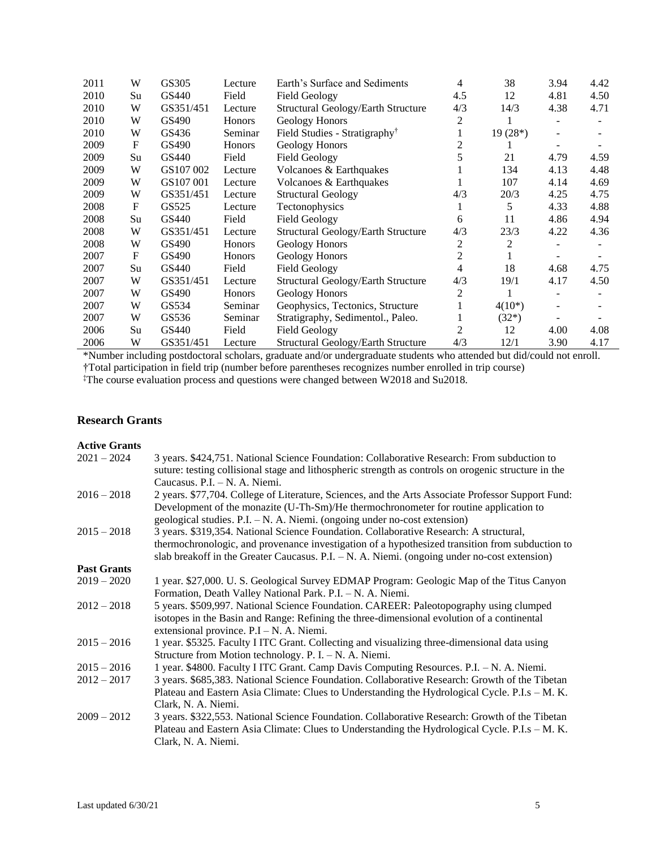| 2011 | W  | GS305     | Lecture | Earth's Surface and Sediments             | 4   | 38        | 3.94 | 4.42 |
|------|----|-----------|---------|-------------------------------------------|-----|-----------|------|------|
| 2010 | Su | GS440     | Field   | <b>Field Geology</b>                      | 4.5 | 12        | 4.81 | 4.50 |
| 2010 | W  | GS351/451 | Lecture | <b>Structural Geology/Earth Structure</b> | 4/3 | 14/3      | 4.38 | 4.71 |
| 2010 | W  | GS490     | Honors  | Geology Honors                            | 2   |           |      |      |
| 2010 | W  | GS436     | Seminar | Field Studies - Stratigraphy <sup>†</sup> |     | $19(28*)$ |      |      |
| 2009 | F  | GS490     | Honors  | Geology Honors                            |     |           |      |      |
| 2009 | Su | GS440     | Field   | <b>Field Geology</b>                      | 5   | 21        | 4.79 | 4.59 |
| 2009 | W  | GS107 002 | Lecture | Volcanoes & Earthquakes                   |     | 134       | 4.13 | 4.48 |
| 2009 | W  | GS107 001 | Lecture | Volcanoes & Earthquakes                   |     | 107       | 4.14 | 4.69 |
| 2009 | W  | GS351/451 | Lecture | <b>Structural Geology</b>                 | 4/3 | 20/3      | 4.25 | 4.75 |
| 2008 | F  | GS525     | Lecture | Tectonophysics                            |     | 5         | 4.33 | 4.88 |
| 2008 | Su | GS440     | Field   | <b>Field Geology</b>                      | 6   | 11        | 4.86 | 4.94 |
| 2008 | W  | GS351/451 | Lecture | Structural Geology/Earth Structure        | 4/3 | 23/3      | 4.22 | 4.36 |
| 2008 | W  | GS490     | Honors  | Geology Honors                            | 2   | 2         |      |      |
| 2007 | F  | GS490     | Honors  | Geology Honors                            | 2   |           |      |      |
| 2007 | Su | GS440     | Field   | <b>Field Geology</b>                      | 4   | 18        | 4.68 | 4.75 |
| 2007 | W  | GS351/451 | Lecture | Structural Geology/Earth Structure        | 4/3 | 19/1      | 4.17 | 4.50 |
| 2007 | W  | GS490     | Honors  | Geology Honors                            | 2   |           |      |      |
| 2007 | W  | GS534     | Seminar | Geophysics, Tectonics, Structure          |     | $4(10^*)$ |      |      |
| 2007 | W  | GS536     | Seminar | Stratigraphy, Sedimentol., Paleo.         |     | $(32*)$   |      |      |
| 2006 | Su | GS440     | Field   | <b>Field Geology</b>                      | 2   | 12        | 4.00 | 4.08 |
| 2006 | W  | GS351/451 | Lecture | Structural Geology/Earth Structure        | 4/3 | 12/1      | 3.90 | 4.17 |

\*Number including postdoctoral scholars, graduate and/or undergraduate students who attended but did/could not enroll. †Total participation in field trip (number before parentheses recognizes number enrolled in trip course)

‡The course evaluation process and questions were changed between W2018 and Su2018.

# **Research Grants**

#### **Active Grants**

| $2021 - 2024$      | 3 years. \$424,751. National Science Foundation: Collaborative Research: From subduction to<br>suture: testing collisional stage and lithospheric strength as controls on orogenic structure in the |
|--------------------|-----------------------------------------------------------------------------------------------------------------------------------------------------------------------------------------------------|
|                    | Caucasus, $P.I. - N. A. Niemi.$                                                                                                                                                                     |
| $2016 - 2018$      | 2 years. \$77,704. College of Literature, Sciences, and the Arts Associate Professor Support Fund:<br>Development of the monazite (U-Th-Sm)/He thermochronometer for routine application to         |
|                    | geological studies. $P.I. - N. A. Niemi.$ (ongoing under no-cost extension)                                                                                                                         |
| $2015 - 2018$      | 3 years. \$319,354. National Science Foundation. Collaborative Research: A structural,                                                                                                              |
|                    | thermochronologic, and provenance investigation of a hypothesized transition from subduction to                                                                                                     |
|                    | slab breakoff in the Greater Caucasus. P.I. - N. A. Niemi. (ongoing under no-cost extension)                                                                                                        |
| <b>Past Grants</b> |                                                                                                                                                                                                     |
| $2019 - 2020$      | 1 year. \$27,000. U.S. Geological Survey EDMAP Program: Geologic Map of the Titus Canyon                                                                                                            |
|                    | Formation, Death Valley National Park. P.I. - N. A. Niemi.                                                                                                                                          |
| $2012 - 2018$      | 5 years. \$509,997. National Science Foundation. CAREER: Paleotopography using clumped                                                                                                              |
|                    | isotopes in the Basin and Range: Refining the three-dimensional evolution of a continental                                                                                                          |
|                    | extensional province. $P.I - N.A.$ Niemi.                                                                                                                                                           |
| $2015 - 2016$      | 1 year. \$5325. Faculty I ITC Grant. Collecting and visualizing three-dimensional data using                                                                                                        |
|                    | Structure from Motion technology. P. I. $- N$ . A. Niemi.                                                                                                                                           |
| $2015 - 2016$      | 1 year. \$4800. Faculty I ITC Grant. Camp Davis Computing Resources. P.I. - N. A. Niemi.                                                                                                            |
| $2012 - 2017$      | 3 years. \$685,383. National Science Foundation. Collaborative Research: Growth of the Tibetan                                                                                                      |
|                    | Plateau and Eastern Asia Climate: Clues to Understanding the Hydrological Cycle. P.I.s – M. K.                                                                                                      |
|                    | Clark, N. A. Niemi.                                                                                                                                                                                 |
| $2009 - 2012$      | 3 years. \$322,553. National Science Foundation. Collaborative Research: Growth of the Tibetan                                                                                                      |
|                    | Plateau and Eastern Asia Climate: Clues to Understanding the Hydrological Cycle. P.I.s – M. K.<br>Clark, N. A. Niemi.                                                                               |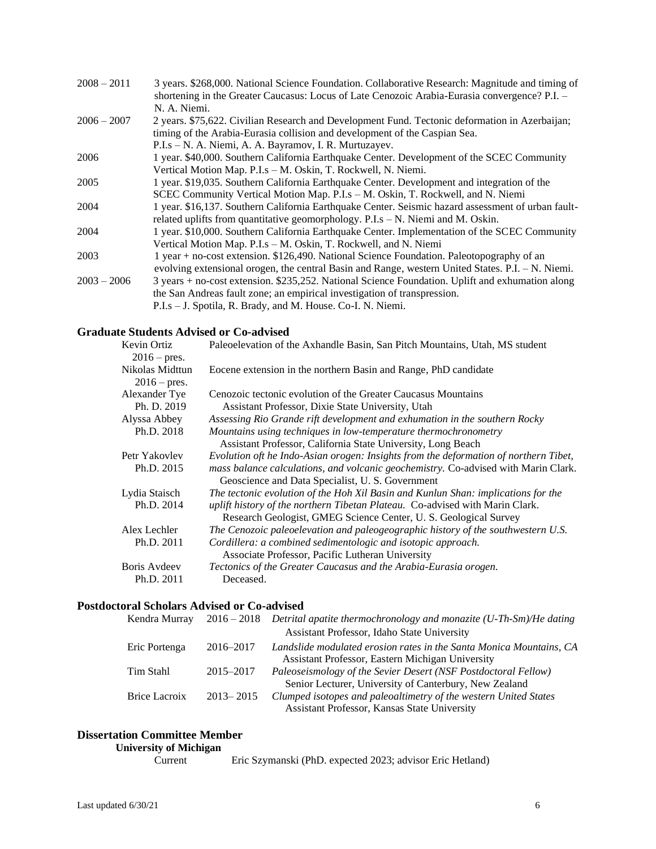| $2008 - 2011$ | 3 years. \$268,000. National Science Foundation. Collaborative Research: Magnitude and timing of    |
|---------------|-----------------------------------------------------------------------------------------------------|
|               | shortening in the Greater Caucasus: Locus of Late Cenozoic Arabia-Eurasia convergence? P.I. -       |
|               | N. A. Niemi.                                                                                        |
| $2006 - 2007$ | 2 years. \$75,622. Civilian Research and Development Fund. Tectonic deformation in Azerbaijan;      |
|               | timing of the Arabia-Eurasia collision and development of the Caspian Sea.                          |
|               | P.I.s – N. A. Niemi, A. A. Bayramov, I. R. Murtuzayev.                                              |
| 2006          | 1 year. \$40,000. Southern California Earthquake Center. Development of the SCEC Community          |
|               | Vertical Motion Map. P.I.s - M. Oskin, T. Rockwell, N. Niemi.                                       |
| 2005          | 1 year. \$19,035. Southern California Earthquake Center. Development and integration of the         |
|               | SCEC Community Vertical Motion Map. P.I.s - M. Oskin, T. Rockwell, and N. Niemi                     |
| 2004          | 1 year. \$16,137. Southern California Earthquake Center. Seismic hazard assessment of urban fault-  |
|               | related uplifts from quantitative geomorphology. $P.I.s - N$ . Niemi and M. Oskin.                  |
| 2004          | 1 year. \$10,000. Southern California Earthquake Center. Implementation of the SCEC Community       |
|               | Vertical Motion Map. P.I.s - M. Oskin, T. Rockwell, and N. Niemi                                    |
| 2003          | 1 year + no-cost extension. \$126,490. National Science Foundation. Paleotopography of an           |
|               | evolving extensional orogen, the central Basin and Range, western United States. $P.I. - N. Niemi.$ |
| $2003 - 2006$ | 3 years + no-cost extension. \$235,252. National Science Foundation. Uplift and exhumation along    |
|               | the San Andreas fault zone; an empirical investigation of transpression.                            |
|               | P.I.s – J. Spotila, R. Brady, and M. House. Co-I. N. Niemi.                                         |
|               |                                                                                                     |

## **Graduate Students Advised or Co-advised**

| Kevin Ortiz<br>$2016 - \text{pres.}$ | Paleoelevation of the Axhandle Basin, San Pitch Mountains, Utah, MS student                                                                   |
|--------------------------------------|-----------------------------------------------------------------------------------------------------------------------------------------------|
| Nikolas Midttun<br>$2016$ – pres.    | Eocene extension in the northern Basin and Range, PhD candidate                                                                               |
| Alexander Tye                        | Cenozoic tectonic evolution of the Greater Caucasus Mountains                                                                                 |
| Ph. D. 2019                          | Assistant Professor, Dixie State University, Utah                                                                                             |
| Alyssa Abbey                         | Assessing Rio Grande rift development and exhumation in the southern Rocky                                                                    |
| Ph.D. 2018                           | Mountains using techniques in low-temperature thermochronometry                                                                               |
|                                      | Assistant Professor, California State University, Long Beach                                                                                  |
| Petr Yakovlev                        | Evolution oft he Indo-Asian orogen: Insights from the deformation of northern Tibet,                                                          |
| Ph.D. 2015                           | <i>mass balance calculations, and volcanic geochemistry.</i> Co-advised with Marin Clark.<br>Geoscience and Data Specialist, U. S. Government |
| Lydia Staisch                        | The tectonic evolution of the Hoh Xil Basin and Kunlun Shan: implications for the                                                             |
| Ph.D. 2014                           | uplift history of the northern Tibetan Plateau. Co-advised with Marin Clark.                                                                  |
|                                      | Research Geologist, GMEG Science Center, U. S. Geological Survey                                                                              |
| Alex Lechler                         | The Cenozoic paleoelevation and paleogeographic history of the southwestern U.S.                                                              |
| Ph.D. 2011                           | Cordillera: a combined sedimentologic and isotopic approach.<br>Associate Professor, Pacific Lutheran University                              |
| Boris Aydeev                         | Tectonics of the Greater Caucasus and the Arabia-Eurasia orogen.                                                                              |
| Ph.D. 2011                           | Deceased.                                                                                                                                     |

# **Postdoctoral Scholars Advised or Co-advised**

| Kendra Murray |               | $2016 - 2018$ Detrital apatite thermochronology and monazite (U-Th-Sm)/He dating                                         |
|---------------|---------------|--------------------------------------------------------------------------------------------------------------------------|
|               |               | Assistant Professor, Idaho State University                                                                              |
| Eric Portenga | 2016–2017     | Landslide modulated erosion rates in the Santa Monica Mountains, CA<br>Assistant Professor, Eastern Michigan University  |
| Tim Stahl     | 2015–2017     | Paleoseismology of the Sevier Desert (NSF Postdoctoral Fellow)<br>Senior Lecturer, University of Canterbury, New Zealand |
| Brice Lacroix | $2013 - 2015$ | Clumped isotopes and paleoaltimetry of the western United States<br>Assistant Professor, Kansas State University         |

# **Dissertation Committee Member**

# **University of Michigan**

Eric Szymanski (PhD. expected 2023; advisor Eric Hetland)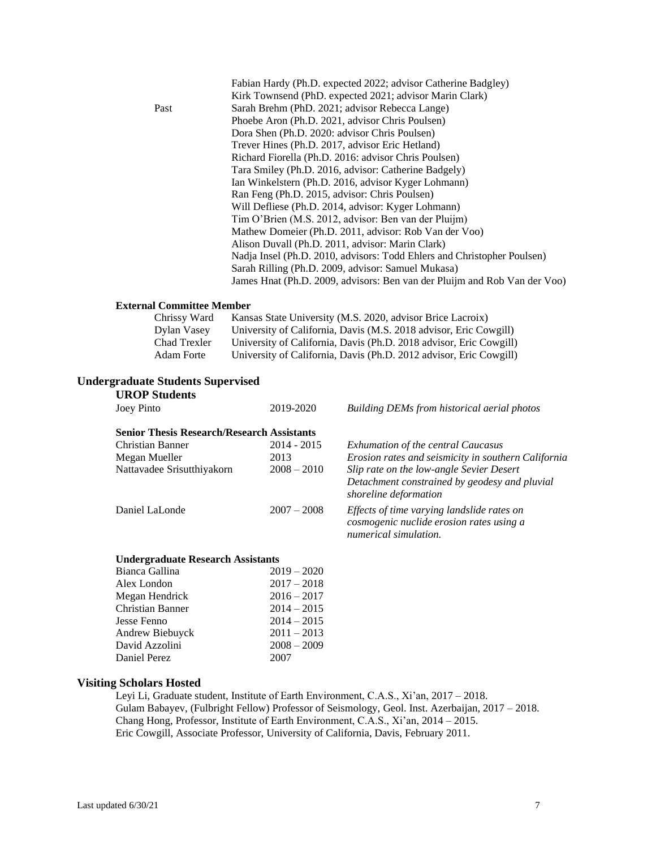|      | Fabian Hardy (Ph.D. expected 2022; advisor Catherine Badgley)             |
|------|---------------------------------------------------------------------------|
|      | Kirk Townsend (PhD. expected 2021; advisor Marin Clark)                   |
| Past | Sarah Brehm (PhD. 2021; advisor Rebecca Lange)                            |
|      | Phoebe Aron (Ph.D. 2021, advisor Chris Poulsen)                           |
|      | Dora Shen (Ph.D. 2020: advisor Chris Poulsen)                             |
|      | Trever Hines (Ph.D. 2017, advisor Eric Hetland)                           |
|      | Richard Fiorella (Ph.D. 2016: advisor Chris Poulsen)                      |
|      | Tara Smiley (Ph.D. 2016, advisor: Catherine Badgely)                      |
|      | Ian Winkelstern (Ph.D. 2016, advisor Kyger Lohmann)                       |
|      | Ran Feng (Ph.D. 2015, advisor: Chris Poulsen)                             |
|      | Will Defliese (Ph.D. 2014, advisor: Kyger Lohmann)                        |
|      | Tim O'Brien (M.S. 2012, advisor: Ben van der Pluijm)                      |
|      | Mathew Domeier (Ph.D. 2011, advisor: Rob Van der Voo)                     |
|      | Alison Duvall (Ph.D. 2011, advisor: Marin Clark)                          |
|      | Nadja Insel (Ph.D. 2010, advisors: Todd Ehlers and Christopher Poulsen)   |
|      | Sarah Rilling (Ph.D. 2009, advisor: Samuel Mukasa)                        |
|      | James Hnat (Ph.D. 2009, advisors: Ben van der Pluijm and Rob Van der Voo) |

#### **External Committee Member**

| Chrissy Ward | Kansas State University (M.S. 2020, advisor Brice Lacroix)         |
|--------------|--------------------------------------------------------------------|
| Dylan Vasey  | University of California, Davis (M.S. 2018 advisor, Eric Cowgill)  |
| Chad Trexler | University of California, Davis (Ph.D. 2018 advisor, Eric Cowgill) |
| Adam Forte   | University of California, Davis (Ph.D. 2012 advisor, Eric Cowgill) |

#### **Undergraduate Students Supervised**

| <b>UROP Students</b>                              |            |
|---------------------------------------------------|------------|
| Joey Pinto                                        | 2019-2020  |
| <b>Senior Thesis Research/Research Assistants</b> |            |
| Christian Banner                                  | 2014 - 201 |

-2020 **Building DEMs from historical aerial photos** 

| Christian Banner<br>Megan Mueller<br>Nattavadee Srisutthiyakorn | $2014 - 2015$<br>2013<br>$2008 - 2010$ | <b>Exhumation of the central Caucasus</b><br>Erosion rates and seismicity in southern California<br>Slip rate on the low-angle Sevier Desert<br>Detachment constrained by geodesy and pluvial |
|-----------------------------------------------------------------|----------------------------------------|-----------------------------------------------------------------------------------------------------------------------------------------------------------------------------------------------|
| Daniel LaLonde                                                  | $2007 - 2008$                          | shoreline deformation<br>Effects of time varying landslide rates on<br>cosmogenic nuclide erosion rates using a<br>numerical simulation.                                                      |

#### **Undergraduate Research Assistants**

| Bianca Gallina   | $2019 - 2020$ |
|------------------|---------------|
| Alex London      | $2017 - 2018$ |
| Megan Hendrick   | $2016 - 2017$ |
| Christian Banner | $2014 - 2015$ |
| Jesse Fenno      | $2014 - 2015$ |
| Andrew Biebuyck  | $2011 - 2013$ |
| David Azzolini   | $2008 - 2009$ |
| Daniel Perez     | 2007          |
|                  |               |

#### **Visiting Scholars Hosted**

Leyi Li, Graduate student, Institute of Earth Environment, C.A.S., Xi'an, 2017 – 2018. Gulam Babayev, (Fulbright Fellow) Professor of Seismology, Geol. Inst. Azerbaijan, 2017 – 2018. Chang Hong, Professor, Institute of Earth Environment, C.A.S., Xi'an, 2014 – 2015. Eric Cowgill, Associate Professor, University of California, Davis, February 2011.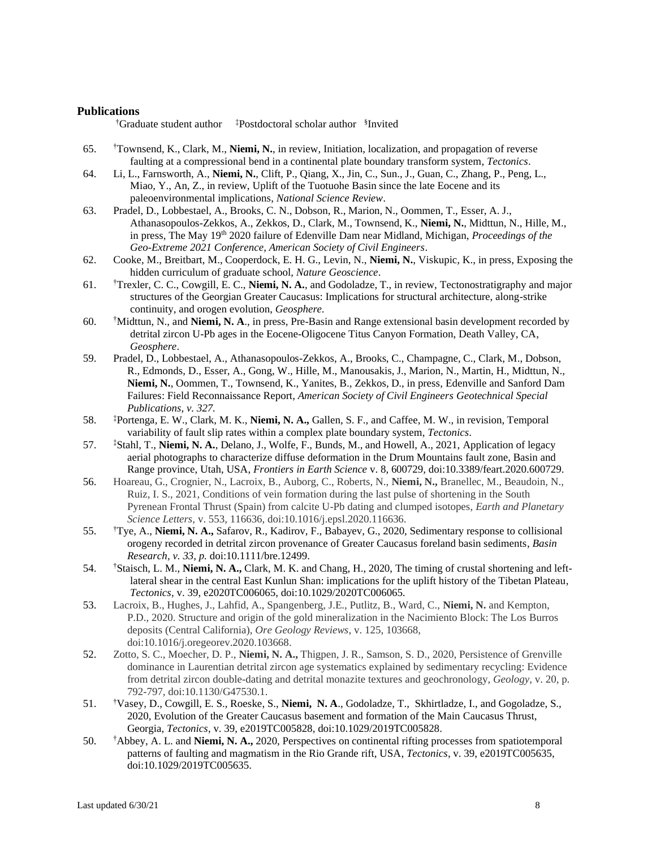#### **Publications**

†Graduate student author ‡Postdoctoral scholar author § Invited

- 65. †Townsend, K., Clark, M., **Niemi, N.**, in review, Initiation, localization, and propagation of reverse faulting at a compressional bend in a continental plate boundary transform system, *Tectonics*.
- 64. Li, L., Farnsworth, A., **Niemi, N.**, Clift, P., Qiang, X., Jin, C., Sun., J., Guan, C., Zhang, P., Peng, L., Miao, Y., An, Z., in review, Uplift of the Tuotuohe Basin since the late Eocene and its paleoenvironmental implications, *National Science Review*.
- 63. Pradel, D., Lobbestael, A., Brooks, C. N., Dobson, R., Marion, N., Oommen, T., Esser, A. J., Athanasopoulos-Zekkos, A., Zekkos, D., Clark, M., Townsend, K., **Niemi, N.**, Midttun, N., Hille, M., in press, The May 19<sup>th</sup> 2020 failure of Edenville Dam near Midland, Michigan, *Proceedings of the Geo-Extreme 2021 Conference, American Society of Civil Engineers*.
- 62. Cooke, M., Breitbart, M., Cooperdock, E. H. G., Levin, N., **Niemi, N.**, Viskupic, K., in press, Exposing the hidden curriculum of graduate school, *Nature Geoscience*.
- 61. †Trexler, C. C., Cowgill, E. C., **Niemi, N. A.**, and Godoladze, T., in review, Tectonostratigraphy and major structures of the Georgian Greater Caucasus: Implications for structural architecture, along-strike continuity, and orogen evolution, *Geosphere.*
- 60. †Midttun, N., and **Niemi, N. A**., in press, Pre-Basin and Range extensional basin development recorded by detrital zircon U-Pb ages in the Eocene-Oligocene Titus Canyon Formation, Death Valley, CA, *Geosphere*.
- 59. Pradel, D., Lobbestael, A., Athanasopoulos-Zekkos, A., Brooks, C., Champagne, C., Clark, M., Dobson, R., Edmonds, D., Esser, A., Gong, W., Hille, M., Manousakis, J., Marion, N., Martin, H., Midttun, N., **Niemi, N.**, Oommen, T., Townsend, K., Yanites, B., Zekkos, D., in press, Edenville and Sanford Dam Failures: Field Reconnaissance Report, *American Society of Civil Engineers Geotechnical Special Publications, v. 327.*
- 58. ‡Portenga, E. W., Clark, M. K., **Niemi, N. A.,** Gallen, S. F., and Caffee, M. W., in revision, Temporal variability of fault slip rates within a complex plate boundary system, *Tectonics*.
- 57. ‡Stahl, T., **Niemi, N. A.**, Delano, J., Wolfe, F., Bunds, M., and Howell, A., 2021, Application of legacy aerial photographs to characterize diffuse deformation in the Drum Mountains fault zone, Basin and Range province, Utah, USA, *Frontiers in Earth Science* v. 8, 600729*,* doi:10.3389/feart.2020.600729.
- 56. Hoareau, G., Crognier, N., Lacroix, B., Auborg, C., Roberts, N., **Niemi, N.,** Branellec, M., Beaudoin, N., Ruiz, I. S., 2021, Conditions of vein formation during the last pulse of shortening in the South Pyrenean Frontal Thrust (Spain) from calcite U-Pb dating and clumped isotopes, *Earth and Planetary Science Letters,* v. 553, 116636, doi:10.1016/j.epsl.2020.116636.
- 55. †Tye, A., **Niemi, N. A.,** Safarov, R., Kadirov, F., Babayev, G., 2020, Sedimentary response to collisional orogeny recorded in detrital zircon provenance of Greater Caucasus foreland basin sediments, *Basin Research, v. 33, p.* doi:10.1111/bre.12499.
- 54. †Staisch, L. M., **Niemi, N. A.,** Clark, M. K. and Chang, H., 2020, The timing of crustal shortening and leftlateral shear in the central East Kunlun Shan: implications for the uplift history of the Tibetan Plateau, *Tectonics,* v. 39, e2020TC006065, doi:10.1029/2020TC006065.
- 53. Lacroix, B., Hughes, J., Lahfid, A., Spangenberg, J.E., Putlitz, B., Ward, C., **Niemi, N.** and Kempton, P.D., 2020. Structure and origin of the gold mineralization in the Nacimiento Block: The Los Burros deposits (Central California), *Ore Geology Reviews*, v. 125, 103668, doi:10.1016/j.oregeorev.2020.103668.
- 52. Zotto, S. C., Moecher, D. P., **Niemi, N. A.,** Thigpen, J. R., Samson, S. D., 2020, Persistence of Grenville dominance in Laurentian detrital zircon age systematics explained by sedimentary recycling: Evidence from detrital zircon double-dating and detrital monazite textures and geochronology, *Geology*, v. 20, p. 792-797, doi:10.1130/G47530.1.
- 51. †Vasey, D., Cowgill, E. S., Roeske, S., **Niemi, N. A**., Godoladze, T., Skhirtladze, I., and Gogoladze, S., 2020, Evolution of the Greater Caucasus basement and formation of the Main Caucasus Thrust, Georgia, *Tectonics*, v. 39, e2019TC005828, doi:10.1029/2019TC005828.
- 50. †Abbey, A. L. and **Niemi, N. A.,** 2020, Perspectives on continental rifting processes from spatiotemporal patterns of faulting and magmatism in the Rio Grande rift, USA, *Tectonics*, v. 39, e2019TC005635, doi:10.1029/2019TC005635.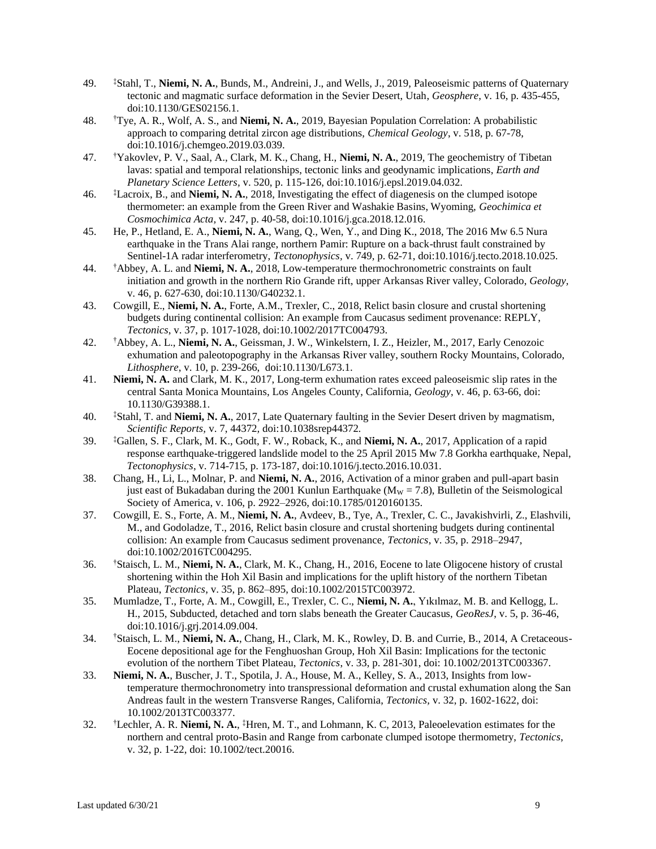- 49. ‡Stahl, T., **Niemi, N. A.**, Bunds, M., Andreini, J., and Wells, J., 2019, Paleoseismic patterns of Quaternary tectonic and magmatic surface deformation in the Sevier Desert, Utah, *Geosphere*, v. 16, p. 435-455, doi:10.1130/GES02156.1.
- 48. †Tye, A. R., Wolf, A. S., and **Niemi, N. A.**, 2019, Bayesian Population Correlation: A probabilistic approach to comparing detrital zircon age distributions, *Chemical Geology*, v. 518, p. 67-78, doi:10.1016/j.chemgeo.2019.03.039.
- 47. †Yakovlev, P. V., Saal, A., Clark, M. K., Chang, H., **Niemi, N. A.**, 2019, The geochemistry of Tibetan lavas: spatial and temporal relationships, tectonic links and geodynamic implications, *Earth and Planetary Science Letters,* v. 520, p. 115-126, doi:10.1016/j.epsl.2019.04.032*.*
- 46. ‡Lacroix, B., and **Niemi, N. A.**, 2018, Investigating the effect of diagenesis on the clumped isotope thermometer: an example from the Green River and Washakie Basins, Wyoming, *Geochimica et Cosmochimica Acta,* v. 247, p. 40-58, doi:10.1016/j.gca.2018.12.016.
- 45. He, P., Hetland, E. A., **Niemi, N. A.**, Wang, Q., Wen, Y., and Ding K., 2018, The 2016 Mw 6.5 Nura earthquake in the Trans Alai range, northern Pamir: Rupture on a back-thrust fault constrained by Sentinel-1A radar interferometry, *Tectonophysics,* v. 749*,* p. 62-71, doi:10.1016/j.tecto.2018.10.025.
- 44. †Abbey, A. L. and **Niemi, N. A.**, 2018, Low-temperature thermochronometric constraints on fault initiation and growth in the northern Rio Grande rift, upper Arkansas River valley, Colorado, *Geology,*  v. 46, p. 627-630, doi:10.1130/G40232.1.
- 43. Cowgill, E., **Niemi, N. A.**, Forte, A.M., Trexler, C., 2018, Relict basin closure and crustal shortening budgets during continental collision: An example from Caucasus sediment provenance: REPLY, *Tectonics*, v. 37, p. 1017-1028, doi:10.1002/2017TC004793.
- 42. †Abbey, A. L., **Niemi, N. A.**, Geissman, J. W., Winkelstern, I. Z., Heizler, M., 2017, Early Cenozoic exhumation and paleotopography in the Arkansas River valley, southern Rocky Mountains, Colorado, *Lithosphere*, v. 10, p. 239-266, doi:10.1130/L673.1.
- 41. **Niemi, N. A.** and Clark, M. K., 2017, Long-term exhumation rates exceed paleoseismic slip rates in the central Santa Monica Mountains, Los Angeles County, California, *Geology*, v. 46, p. 63-66, doi: 10.1130/G39388.1.
- 40. ‡Stahl, T. and **Niemi, N. A.**, 2017, Late Quaternary faulting in the Sevier Desert driven by magmatism, *Scientific Reports,* v. 7, 44372*,* doi:10.1038srep44372*.*
- 39. ‡Gallen, S. F., Clark, M. K., Godt, F. W., Roback, K., and **Niemi, N. A.**, 2017, Application of a rapid response earthquake-triggered landslide model to the 25 April 2015 Mw 7.8 Gorkha earthquake, Nepal, *Tectonophysics*, v. 714-715, p. 173-187, doi:10.1016/j.tecto.2016.10.031.
- 38. Chang, H., Li, L., Molnar, P. and **Niemi, N. A.**, 2016, Activation of a minor graben and pull-apart basin just east of Bukadaban during the 2001 Kunlun Earthquake ( $M_W = 7.8$ ), Bulletin of the Seismological Society of America, v. 106, p. 2922–2926, doi:10.1785/0120160135.
- 37. Cowgill, E. S., Forte, A. M., **Niemi, N. A.**, Avdeev, B., Tye, A., Trexler, C. C., Javakishvirli, Z., Elashvili, M., and Godoladze, T., 2016, Relict basin closure and crustal shortening budgets during continental collision: An example from Caucasus sediment provenance, *Tectonics*, v. 35, p. 2918–2947, doi:10.1002/2016TC004295.
- 36. †Staisch, L. M., **Niemi, N. A.**, Clark, M. K., Chang, H., 2016, Eocene to late Oligocene history of crustal shortening within the Hoh Xil Basin and implications for the uplift history of the northern Tibetan Plateau, *Tectonics*, v. 35, p. 862–895, doi:10.1002/2015TC003972.
- 35. Mumladze, T., Forte, A. M., Cowgill, E., Trexler, C. C., **Niemi, N. A.**, Yıkılmaz, M. B. and Kellogg, L. H., 2015, Subducted, detached and torn slabs beneath the Greater Caucasus, *GeoResJ*, v. 5, p. 36-46, doi:10.1016/j.grj.2014.09.004.
- 34. †Staisch, L. M., **Niemi, N. A.**, Chang, H., Clark, M. K., Rowley, D. B. and Currie, B., 2014, A Cretaceous-Eocene depositional age for the Fenghuoshan Group, Hoh Xil Basin: Implications for the tectonic evolution of the northern Tibet Plateau, *Tectonics*, v. 33, p. 281-301, doi: 10.1002/2013TC003367.
- 33. **Niemi, N. A.**, Buscher, J. T., Spotila, J. A., House, M. A., Kelley, S. A., 2013, Insights from lowtemperature thermochronometry into transpressional deformation and crustal exhumation along the San Andreas fault in the western Transverse Ranges, California, *Tectonics,* v. 32, p. 1602-1622, doi: 10.1002/2013TC003377.
- 32. †Lechler, A. R. **Niemi, N. A.**, ‡Hren, M. T., and Lohmann, K. C, 2013, Paleoelevation estimates for the northern and central proto-Basin and Range from carbonate clumped isotope thermometry, *Tectonics*, v. 32, p. 1-22, doi: 10.1002/tect.20016.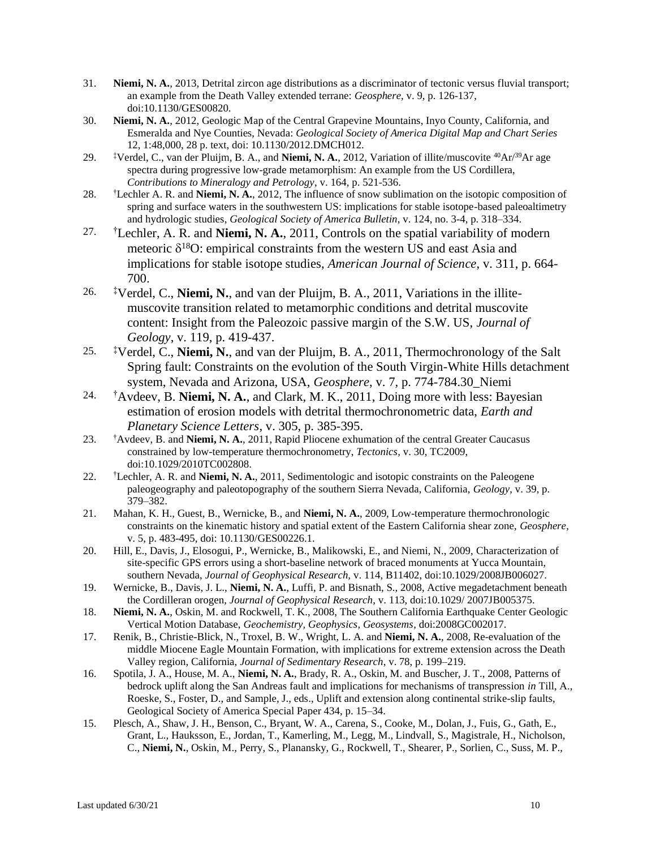- 31. **Niemi, N. A.**, 2013, Detrital zircon age distributions as a discriminator of tectonic versus fluvial transport; an example from the Death Valley extended terrane: *Geosphere*, v. 9, p. 126-137, doi:10.1130/GES00820.
- 30. **Niemi, N. A.**, 2012, Geologic Map of the Central Grapevine Mountains, Inyo County, California, and Esmeralda and Nye Counties, Nevada: *Geological Society of America Digital Map and Chart Series* 12, 1:48,000, 28 p. text, doi: 10.1130/2012.DMCH012.
- 29. ‡Verdel, C., van der Pluijm, B. A., and **Niemi, N. A.**, 2012, Variation of illite/muscovite <sup>40</sup>Ar/<sup>39</sup>Ar age spectra during progressive low-grade metamorphism: An example from the US Cordillera, *Contributions to Mineralogy and Petrology*, v. 164, p. 521-536.
- 28. †Lechler A. R. and **Niemi, N. A.**, 2012, The influence of snow sublimation on the isotopic composition of spring and surface waters in the southwestern US: implications for stable isotope-based paleoaltimetry and hydrologic studies, *Geological Society of America Bulletin*, v. 124, no. 3-4, p. 318–334.
- 27. †Lechler, A. R. and **Niemi, N. A.**, 2011, Controls on the spatial variability of modern meteoric  $\delta^{18}$ O: empirical constraints from the western US and east Asia and implications for stable isotope studies, *American Journal of Science*, v. 311, p. 664- 700.
- 26. ‡Verdel, C., **Niemi, N.**, and van der Pluijm, B. A., 2011, Variations in the illitemuscovite transition related to metamorphic conditions and detrital muscovite content: Insight from the Paleozoic passive margin of the S.W. US, *Journal of Geology*, v. 119, p. 419-437.
- 25. ‡Verdel, C., **Niemi, N.**, and van der Pluijm, B. A., 2011, Thermochronology of the Salt Spring fault: Constraints on the evolution of the South Virgin-White Hills detachment system, Nevada and Arizona, USA, *Geosphere,* v. 7, p. 774-784.30\_Niemi
- 24. †Avdeev, B. **Niemi, N. A.**, and Clark, M. K., 2011, Doing more with less: Bayesian estimation of erosion models with detrital thermochronometric data, *Earth and Planetary Science Letters*, v. 305, p. 385-395.
- 23. †Avdeev, B. and **Niemi, N. A.**, 2011, Rapid Pliocene exhumation of the central Greater Caucasus constrained by low-temperature thermochronometry, *Tectonics,* v. 30, TC2009, doi:10.1029/2010TC002808.
- 22. †Lechler, A. R. and **Niemi, N. A.**, 2011, Sedimentologic and isotopic constraints on the Paleogene paleogeography and paleotopography of the southern Sierra Nevada, California, *Geology*, v. 39, p. 379–382.
- 21. Mahan, K. H., Guest, B., Wernicke, B., and **Niemi, N. A.**, 2009, Low-temperature thermochronologic constraints on the kinematic history and spatial extent of the Eastern California shear zone, *Geosphere*, v. 5, p. 483-495, doi: 10.1130/GES00226.1.
- 20. Hill, E., Davis, J., Elosogui, P., Wernicke, B., Malikowski, E., and Niemi, N., 2009, Characterization of site-specific GPS errors using a short-baseline network of braced monuments at Yucca Mountain, southern Nevada, *Journal of Geophysical Research,* v. 114, B11402, doi:10.1029/2008JB006027.
- 19. Wernicke, B., Davis, J. L., **Niemi, N. A.**, Luffi, P. and Bisnath, S., 2008, Active megadetachment beneath the Cordilleran orogen, *Journal of Geophysical Research*, v. 113, doi:10.1029/ 2007JB005375.
- 18. **Niemi, N. A.**, Oskin, M. and Rockwell, T. K., 2008, The Southern California Earthquake Center Geologic Vertical Motion Database, *Geochemistry, Geophysics, Geosystems*, doi:2008GC002017.
- 17. Renik, B., Christie-Blick, N., Troxel, B. W., Wright, L. A. and **Niemi, N. A.**, 2008, Re-evaluation of the middle Miocene Eagle Mountain Formation, with implications for extreme extension across the Death Valley region, California, *Journal of Sedimentary Research*, v. 78, p. 199–219.
- 16. Spotila, J. A., House, M. A., **Niemi, N. A.**, Brady, R. A., Oskin, M. and Buscher, J. T., 2008, Patterns of bedrock uplift along the San Andreas fault and implications for mechanisms of transpression *in* Till, A., Roeske, S., Foster, D., and Sample, J., eds., Uplift and extension along continental strike-slip faults, Geological Society of America Special Paper 434, p. 15–34.
- 15. Plesch, A., Shaw, J. H., Benson, C., Bryant, W. A., Carena, S., Cooke, M., Dolan, J., Fuis, G., Gath, E., Grant, L., Hauksson, E., Jordan, T., Kamerling, M., Legg, M., Lindvall, S., Magistrale, H., Nicholson, C., **Niemi, N.**, Oskin, M., Perry, S., Planansky, G., Rockwell, T., Shearer, P., Sorlien, C., Suss, M. P.,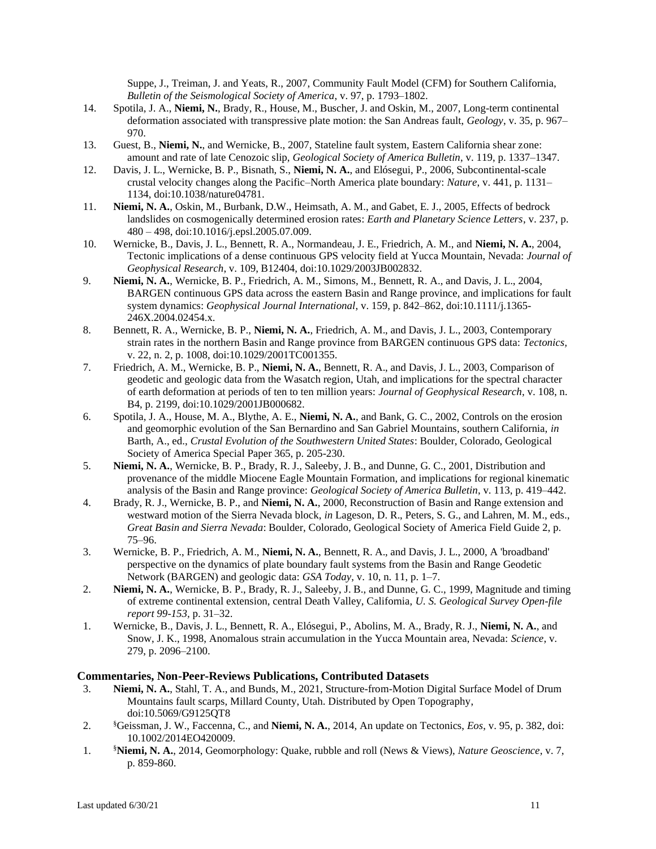Suppe, J., Treiman, J. and Yeats, R., 2007, Community Fault Model (CFM) for Southern California, *Bulletin of the Seismological Society of America*, v. 97, p. 1793–1802.

- 14. Spotila, J. A., **Niemi, N.**, Brady, R., House, M., Buscher, J. and Oskin, M., 2007, Long-term continental deformation associated with transpressive plate motion: the San Andreas fault, *Geology*, v. 35, p. 967– 970.
- 13. Guest, B., **Niemi, N.**, and Wernicke, B., 2007, Stateline fault system, Eastern California shear zone: amount and rate of late Cenozoic slip, *Geological Society of America Bulletin*, v. 119, p. 1337–1347.
- 12. Davis, J. L., Wernicke, B. P., Bisnath, S., **Niemi, N. A.**, and Elósegui, P., 2006, Subcontinental-scale crustal velocity changes along the Pacific–North America plate boundary: *Nature*, v. 441, p. 1131– 1134, doi:10.1038/nature04781.
- 11. **Niemi, N. A.**, Oskin, M., Burbank, D.W., Heimsath, A. M., and Gabet, E. J., 2005, Effects of bedrock landslides on cosmogenically determined erosion rates: *Earth and Planetary Science Letters*, v. 237, p. 480 – 498, doi:10.1016/j.epsl.2005.07.009.
- 10. Wernicke, B., Davis, J. L., Bennett, R. A., Normandeau, J. E., Friedrich, A. M., and **Niemi, N. A.**, 2004, Tectonic implications of a dense continuous GPS velocity field at Yucca Mountain, Nevada: *Journal of Geophysical Research*, v. 109, B12404, doi:10.1029/2003JB002832.
- 9. **Niemi, N. A.**, Wernicke, B. P., Friedrich, A. M., Simons, M., Bennett, R. A., and Davis, J. L., 2004, BARGEN continuous GPS data across the eastern Basin and Range province, and implications for fault system dynamics: *Geophysical Journal International*, v. 159, p. 842–862, doi:10.1111/j.1365- 246X.2004.02454.x.
- 8. Bennett, R. A., Wernicke, B. P., **Niemi, N. A.**, Friedrich, A. M., and Davis, J. L., 2003, Contemporary strain rates in the northern Basin and Range province from BARGEN continuous GPS data: *Tectonics,*  v. 22, n. 2, p. 1008, doi:10.1029/2001TC001355.
- 7. Friedrich, A. M., Wernicke, B. P., **Niemi, N. A.**, Bennett, R. A., and Davis, J. L., 2003, Comparison of geodetic and geologic data from the Wasatch region, Utah, and implications for the spectral character of earth deformation at periods of ten to ten million years: *Journal of Geophysical Research*, v. 108, n. B4, p. 2199, doi:10.1029/2001JB000682.
- 6. Spotila, J. A., House, M. A., Blythe, A. E., **Niemi, N. A.**, and Bank, G. C., 2002, Controls on the erosion and geomorphic evolution of the San Bernardino and San Gabriel Mountains, southern California, *in* Barth, A., ed., *Crustal Evolution of the Southwestern United States*: Boulder, Colorado, Geological Society of America Special Paper 365, p. 205-230.
- 5. **Niemi, N. A.**, Wernicke, B. P., Brady, R. J., Saleeby, J. B., and Dunne, G. C., 2001, Distribution and provenance of the middle Miocene Eagle Mountain Formation, and implications for regional kinematic analysis of the Basin and Range province: *Geological Society of America Bulletin*, v. 113, p. 419–442.
- 4. Brady, R. J., Wernicke, B. P., and **Niemi, N. A.**, 2000, Reconstruction of Basin and Range extension and westward motion of the Sierra Nevada block, *in* Lageson, D. R., Peters, S. G., and Lahren, M. M., eds., *Great Basin and Sierra Nevada*: Boulder, Colorado, Geological Society of America Field Guide 2, p. 75–96.
- 3. Wernicke, B. P., Friedrich, A. M., **Niemi, N. A.**, Bennett, R. A., and Davis, J. L., 2000, A 'broadband' perspective on the dynamics of plate boundary fault systems from the Basin and Range Geodetic Network (BARGEN) and geologic data: *GSA Today*, v. 10, n. 11, p. 1–7.
- 2. **Niemi, N. A.**, Wernicke, B. P., Brady, R. J., Saleeby, J. B., and Dunne, G. C., 1999, Magnitude and timing of extreme continental extension, central Death Valley, California, *U. S. Geological Survey Open-file report 99-153,* p. 31–32.
- 1. Wernicke, B., Davis, J. L., Bennett, R. A., Elósegui, P., Abolins, M. A., Brady, R. J., **Niemi, N. A.**, and Snow, J. K., 1998, Anomalous strain accumulation in the Yucca Mountain area, Nevada: *Science*, v. 279, p. 2096–2100.

#### **Commentaries, Non-Peer-Reviews Publications, Contributed Datasets**

- 3. **Niemi, N. A.**, Stahl, T. A., and Bunds, M., 2021, Structure-from-Motion Digital Surface Model of Drum Mountains fault scarps, Millard County, Utah. Distributed by Open Topography, doi:10.5069/G9125QT8
- 2. §Geissman, J. W., Faccenna, C., and **Niemi, N. A.**, 2014, An update on Tectonics, *Eos*, v. 95, p. 382, doi: 10.1002/2014EO420009.
- 1. §**Niemi, N. A.**, 2014, Geomorphology: Quake, rubble and roll (News & Views), *Nature Geoscience*, v. 7, p. 859-860.